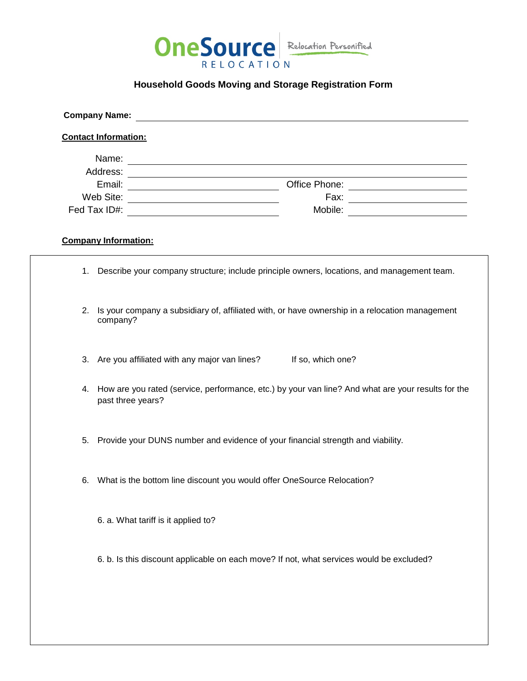

## **Household Goods Moving and Storage Registration Form**

| <b>Company Name:</b><br><u> 1980 - Jan Samuel Barbara, margaret e populazion del control del control del control del control de la control</u>                                                                                      |                                                                                                                         |  |
|-------------------------------------------------------------------------------------------------------------------------------------------------------------------------------------------------------------------------------------|-------------------------------------------------------------------------------------------------------------------------|--|
| <b>Contact Information:</b>                                                                                                                                                                                                         |                                                                                                                         |  |
| Name: <u>Name:</u> Name: Name: Name: Name: Name: Name: Name: Name: Name: Name: Name: Name: Name: Name: Name: Name: Name: Name: Name: Name: Name: Name: Name: Name: Name: Name: Name: Name: Name: Name: Name: Name: Name: Name: Name |                                                                                                                         |  |
|                                                                                                                                                                                                                                     |                                                                                                                         |  |
|                                                                                                                                                                                                                                     |                                                                                                                         |  |
|                                                                                                                                                                                                                                     | Fax: _________________________<br>Mobile: __________________________                                                    |  |
|                                                                                                                                                                                                                                     |                                                                                                                         |  |
| <b>Company Information:</b>                                                                                                                                                                                                         |                                                                                                                         |  |
|                                                                                                                                                                                                                                     | 1. Describe your company structure; include principle owners, locations, and management team.                           |  |
| 2.                                                                                                                                                                                                                                  | Is your company a subsidiary of, affiliated with, or have ownership in a relocation management<br>company?              |  |
|                                                                                                                                                                                                                                     | 3. Are you affiliated with any major van lines?<br>If so, which one?                                                    |  |
| 4.                                                                                                                                                                                                                                  | How are you rated (service, performance, etc.) by your van line? And what are your results for the<br>past three years? |  |
| 5.                                                                                                                                                                                                                                  | Provide your DUNS number and evidence of your financial strength and viability.                                         |  |
|                                                                                                                                                                                                                                     | 6. What is the bottom line discount you would offer OneSource Relocation?                                               |  |
|                                                                                                                                                                                                                                     | 6. a. What tariff is it applied to?                                                                                     |  |
|                                                                                                                                                                                                                                     | 6. b. Is this discount applicable on each move? If not, what services would be excluded?                                |  |
|                                                                                                                                                                                                                                     |                                                                                                                         |  |
|                                                                                                                                                                                                                                     |                                                                                                                         |  |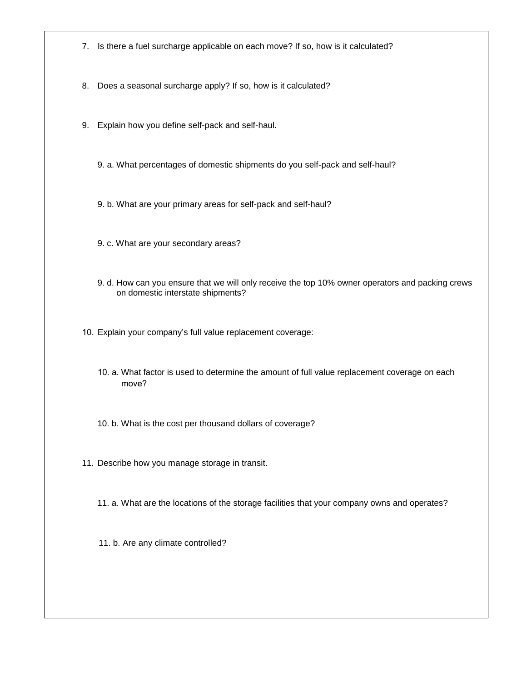- 7. Is there a fuel surcharge applicable on each move? If so, how is it calculated?
- 8. Does a seasonal surcharge apply? If so, how is it calculated?
- 9. Explain how you define self-pack and self-haul.
	- 9. a. What percentages of domestic shipments do you self-pack and self-haul?
	- 9. b. What are your primary areas for self-pack and self-haul?
	- 9. c. What are your secondary areas?
	- 9. d. How can you ensure that we will only receive the top 10% owner operators and packing crews on domestic interstate shipments?
- 10. Explain your company's full value replacement coverage:
	- 10. a. What factor is used to determine the amount of full value replacement coverage on each move?
	- 10. b. What is the cost per thousand dollars of coverage?
- 11. Describe how you manage storage in transit.
	- 11. a. What are the locations of the storage facilities that your company owns and operates?
	- 11. b. Are any climate controlled?